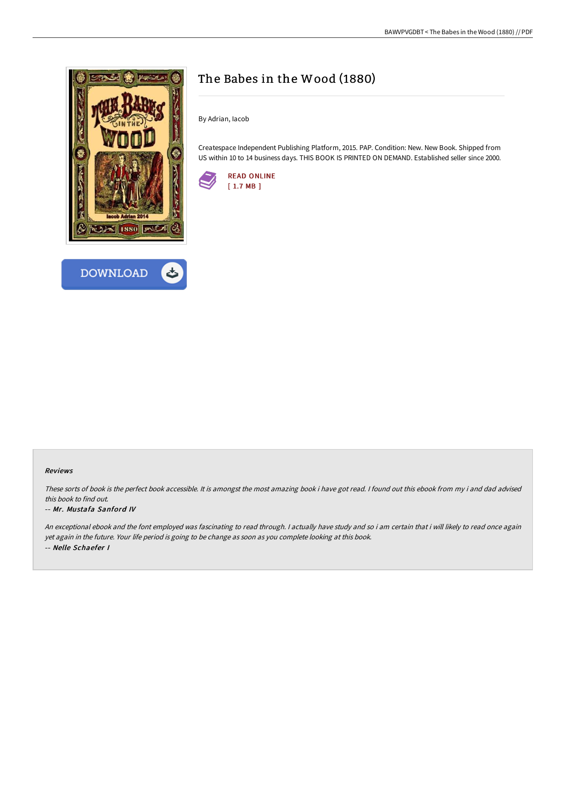



# The Babes in the Wood (1880)

By Adrian, Iacob

Createspace Independent Publishing Platform, 2015. PAP. Condition: New. New Book. Shipped from US within 10 to 14 business days. THIS BOOK IS PRINTED ON DEMAND. Established seller since 2000.



### Reviews

These sorts of book is the perfect book accessible. It is amongst the most amazing book i have got read. <sup>I</sup> found out this ebook from my i and dad advised this book to find out.

#### -- Mr. Mustafa Sanford IV

An exceptional ebook and the font employed was fascinating to read through. <sup>I</sup> actually have study and so i am certain that i will likely to read once again yet again in the future. Your life period is going to be change as soon as you complete looking at this book. -- Nelle Schaefer I